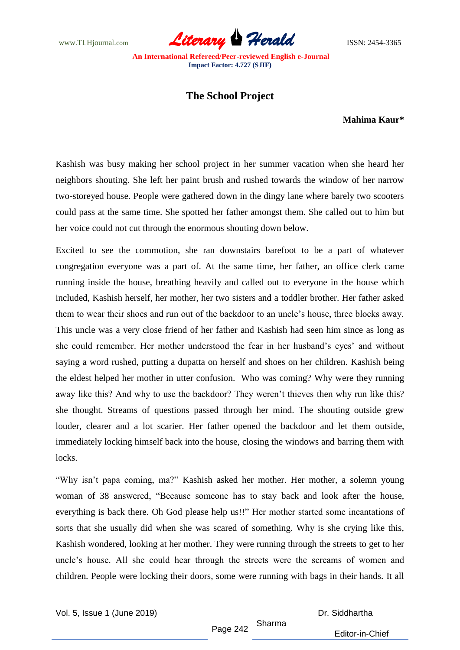www.TLHjournal.com **Literary Herald Herald ISSN: 2454-3365** 

## **The School Project**

**Mahima Kaur\***

Kashish was busy making her school project in her summer vacation when she heard her neighbors shouting. She left her paint brush and rushed towards the window of her narrow two-storeyed house. People were gathered down in the dingy lane where barely two scooters could pass at the same time. She spotted her father amongst them. She called out to him but her voice could not cut through the enormous shouting down below.

Excited to see the commotion, she ran downstairs barefoot to be a part of whatever congregation everyone was a part of. At the same time, her father, an office clerk came running inside the house, breathing heavily and called out to everyone in the house which included, Kashish herself, her mother, her two sisters and a toddler brother. Her father asked them to wear their shoes and run out of the backdoor to an uncle's house, three blocks away. This uncle was a very close friend of her father and Kashish had seen him since as long as she could remember. Her mother understood the fear in her husband's eyes' and without saying a word rushed, putting a dupatta on herself and shoes on her children. Kashish being the eldest helped her mother in utter confusion. Who was coming? Why were they running away like this? And why to use the backdoor? They weren't thieves then why run like this? she thought. Streams of questions passed through her mind. The shouting outside grew louder, clearer and a lot scarier. Her father opened the backdoor and let them outside, immediately locking himself back into the house, closing the windows and barring them with locks.

"Why isn't papa coming, ma?" Kashish asked her mother. Her mother, a solemn young woman of 38 answered, "Because someone has to stay back and look after the house, everything is back there. Oh God please help us!!" Her mother started some incantations of sorts that she usually did when she was scared of something. Why is she crying like this, Kashish wondered, looking at her mother. They were running through the streets to get to her uncle's house. All she could hear through the streets were the screams of women and children. People were locking their doors, some were running with bags in their hands. It all

Vol. 5, Issue 1 (June 2019)

Dr. Siddhartha

Page 242 Sharma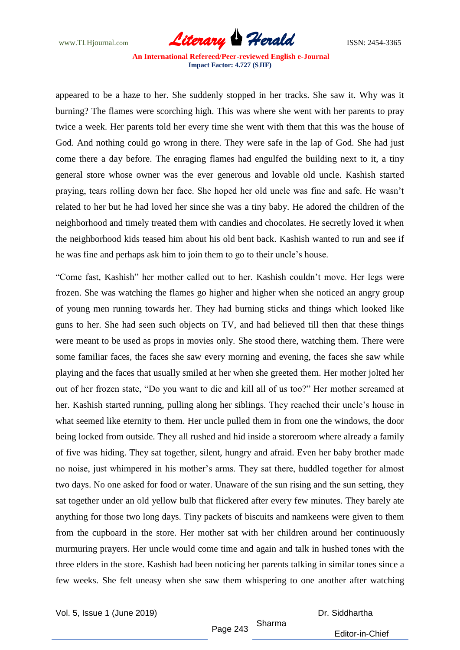www.TLHjournal.com **Literary Herald Herald ISSN: 2454-3365** 

appeared to be a haze to her. She suddenly stopped in her tracks. She saw it. Why was it burning? The flames were scorching high. This was where she went with her parents to pray twice a week. Her parents told her every time she went with them that this was the house of God. And nothing could go wrong in there. They were safe in the lap of God. She had just come there a day before. The enraging flames had engulfed the building next to it, a tiny general store whose owner was the ever generous and lovable old uncle. Kashish started praying, tears rolling down her face. She hoped her old uncle was fine and safe. He wasn't related to her but he had loved her since she was a tiny baby. He adored the children of the neighborhood and timely treated them with candies and chocolates. He secretly loved it when the neighborhood kids teased him about his old bent back. Kashish wanted to run and see if he was fine and perhaps ask him to join them to go to their uncle's house.

"Come fast, Kashish" her mother called out to her. Kashish couldn't move. Her legs were frozen. She was watching the flames go higher and higher when she noticed an angry group of young men running towards her. They had burning sticks and things which looked like guns to her. She had seen such objects on TV, and had believed till then that these things were meant to be used as props in movies only. She stood there, watching them. There were some familiar faces, the faces she saw every morning and evening, the faces she saw while playing and the faces that usually smiled at her when she greeted them. Her mother jolted her out of her frozen state, "Do you want to die and kill all of us too?" Her mother screamed at her. Kashish started running, pulling along her siblings. They reached their uncle's house in what seemed like eternity to them. Her uncle pulled them in from one the windows, the door being locked from outside. They all rushed and hid inside a storeroom where already a family of five was hiding. They sat together, silent, hungry and afraid. Even her baby brother made no noise, just whimpered in his mother's arms. They sat there, huddled together for almost two days. No one asked for food or water. Unaware of the sun rising and the sun setting, they sat together under an old yellow bulb that flickered after every few minutes. They barely ate anything for those two long days. Tiny packets of biscuits and namkeens were given to them from the cupboard in the store. Her mother sat with her children around her continuously murmuring prayers. Her uncle would come time and again and talk in hushed tones with the three elders in the store. Kashish had been noticing her parents talking in similar tones since a few weeks. She felt uneasy when she saw them whispering to one another after watching

Vol. 5, Issue 1 (June 2019)

Dr. Siddhartha

Page 243 Sharma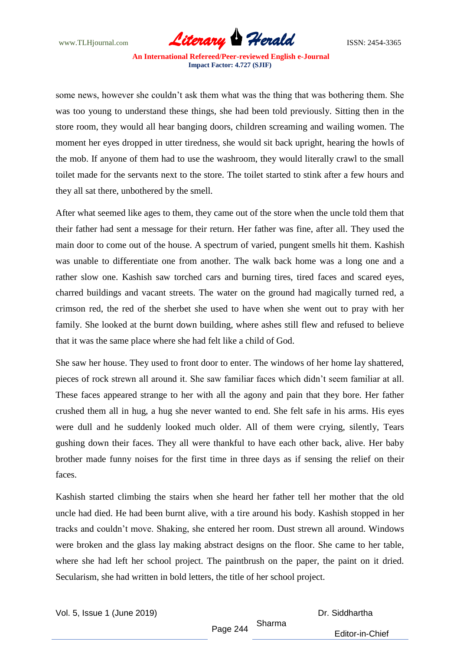www.TLHjournal.com **Literary Herald Herald** ISSN: 2454-3365

some news, however she couldn't ask them what was the thing that was bothering them. She was too young to understand these things, she had been told previously. Sitting then in the store room, they would all hear banging doors, children screaming and wailing women. The moment her eyes dropped in utter tiredness, she would sit back upright, hearing the howls of the mob. If anyone of them had to use the washroom, they would literally crawl to the small toilet made for the servants next to the store. The toilet started to stink after a few hours and they all sat there, unbothered by the smell.

After what seemed like ages to them, they came out of the store when the uncle told them that their father had sent a message for their return. Her father was fine, after all. They used the main door to come out of the house. A spectrum of varied, pungent smells hit them. Kashish was unable to differentiate one from another. The walk back home was a long one and a rather slow one. Kashish saw torched cars and burning tires, tired faces and scared eyes, charred buildings and vacant streets. The water on the ground had magically turned red, a crimson red, the red of the sherbet she used to have when she went out to pray with her family. She looked at the burnt down building, where ashes still flew and refused to believe that it was the same place where she had felt like a child of God.

She saw her house. They used to front door to enter. The windows of her home lay shattered, pieces of rock strewn all around it. She saw familiar faces which didn't seem familiar at all. These faces appeared strange to her with all the agony and pain that they bore. Her father crushed them all in hug, a hug she never wanted to end. She felt safe in his arms. His eyes were dull and he suddenly looked much older. All of them were crying, silently, Tears gushing down their faces. They all were thankful to have each other back, alive. Her baby brother made funny noises for the first time in three days as if sensing the relief on their faces.

Kashish started climbing the stairs when she heard her father tell her mother that the old uncle had died. He had been burnt alive, with a tire around his body. Kashish stopped in her tracks and couldn't move. Shaking, she entered her room. Dust strewn all around. Windows were broken and the glass lay making abstract designs on the floor. She came to her table, where she had left her school project. The paintbrush on the paper, the paint on it dried. Secularism, she had written in bold letters, the title of her school project.

Vol. 5, Issue 1 (June 2019)

Dr. Siddhartha

Page 244 Sharma